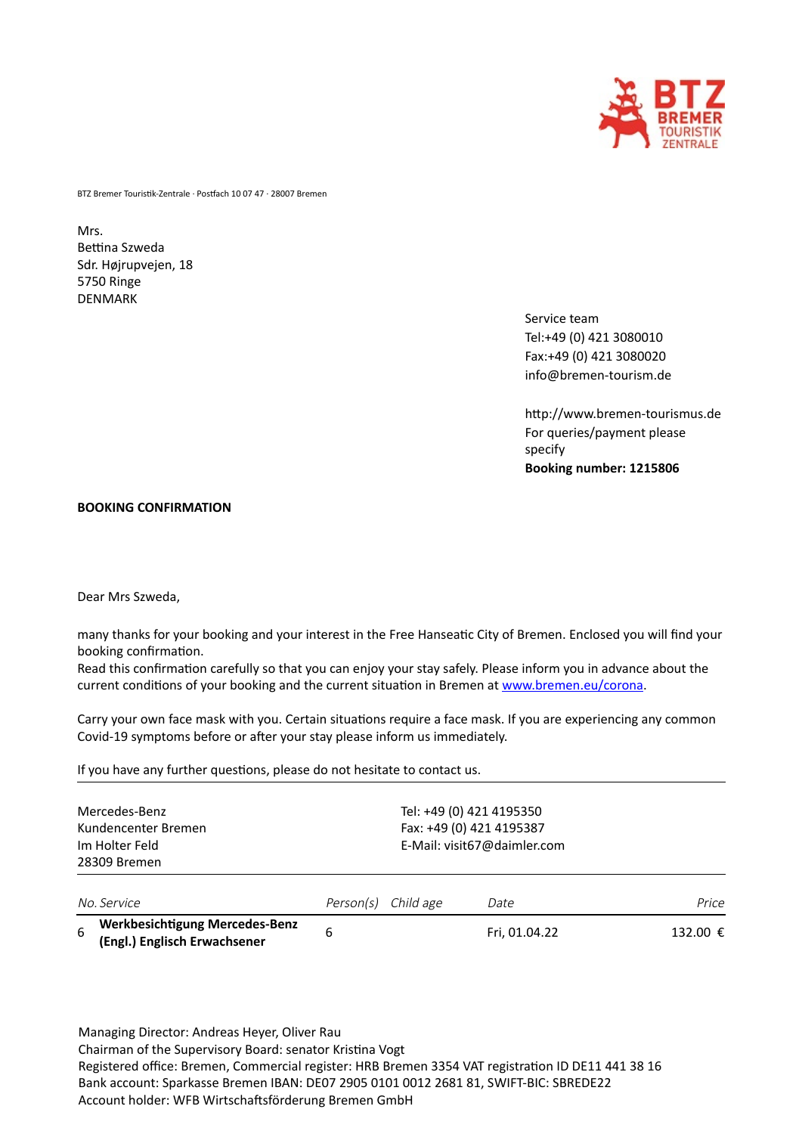

BTZ Bremer Touristik-Zentrale · Postfach 10 07 47 · 28007 Bremen

## Mrs. Bettina Szweda Sdr. Højrupvejen, 18 5750 Ringe DENMARK

Service team Tel:+49 (0) 421 3080010 Fax:+49 (0) 421 3080020 info@bremen-tourism.de

http://www.bremen-tourismus.de For queries/payment please specify **Booking number: 1215806**

## **BOOKING CONFIRMATION**

Dear Mrs Szweda,

many thanks for your booking and your interest in the Free Hanseatic City of Bremen. Enclosed you will find your booking confirmation.

Read this confirmation carefully so that you can enjoy your stay safely. Please inform you in advance about the current conditions of your booking and the current situation in Bremen at [www.bremen.eu/corona.](http://www.bremen.eu/corona)

Carry your own face mask with you. Certain situations require a face mask. If you are experiencing any common Covid-19 symptoms before or after your stay please inform us immediately.

If you have any further questions, please do not hesitate to contact us.

| Mercedes-Benz<br>Kundencenter Bremen<br>Im Holter Feld<br>28309 Bremen |                                                                | Tel: +49 (0) 421 4195350<br>Fax: +49 (0) 421 4195387<br>E-Mail: visit67@daimler.com |           |               |          |
|------------------------------------------------------------------------|----------------------------------------------------------------|-------------------------------------------------------------------------------------|-----------|---------------|----------|
|                                                                        | No. Service                                                    | Person(s)                                                                           | Child age | Date          | Price    |
| 6                                                                      | Werkbesichtigung Mercedes-Benz<br>(Engl.) Englisch Erwachsener | 6                                                                                   |           | Fri, 01.04.22 | 132.00 € |

Managing Director: Andreas Heyer, Oliver Rau Chairman of the Supervisory Board: senator Kristina Vogt Registered office: Bremen, Commercial register: HRB Bremen 3354 VAT registration ID DE11 441 38 16 Bank account: Sparkasse Bremen IBAN: DE07 2905 0101 0012 2681 81, SWIFT-BIC: SBREDE22 Account holder: WFB Wirtschaftsförderung Bremen GmbH